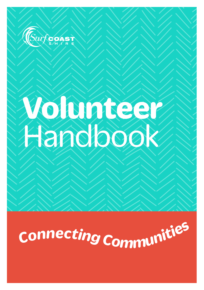

## **Volunteer**  Handbook

# *<sup>C</sup>onnectin<sup>g</sup> <sup>C</sup>ommunitie<sup>s</sup>*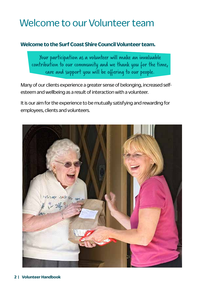## Welcome to our Volunteer team

#### **Welcome to the Surf Coast Shire Council Volunteer team.**

Your participation as a volunteer will make an invaluable contribution to our community and we thank you for the time, care and support you will be offering to our people.

Many of our clients experience a greater sense of belonging, increased selfesteem and wellbeing as a result of interaction with a volunteer.

It is our aim for the experience to be mutually satisfying and rewarding for employees, clients and volunteers.

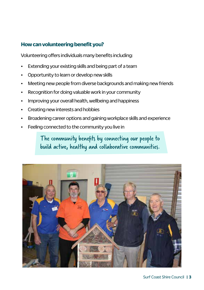#### **How can volunteering benefit you?**

Volunteering offers individuals many benefits including:

- Extending your existing skills and being part of a team
- Opportunity to learn or develop new skills
- Meeting new people from diverse backgrounds and making new friends
- Recognition for doing valuable work in your community
- Improving your overall health, wellbeing and happiness
- Creating new interests and hobbies
- Broadening career options and gaining workplace skills and experience
- Feeling connected to the community you live in

The community benefits by connecting our people to build active, healthy and collaborative communities.

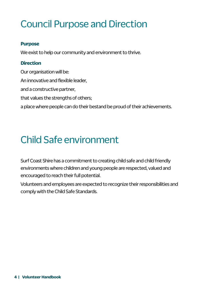## Council Purpose and Direction

#### **Purpose**

We exist to help our community and environment to thrive.

#### **Direction**

Our organisation will be: An innovative and flexible leader, and a constructive partner, that values the strengths of others; a place where people can do their bestand be proud of their achievements.

## Child Safe environment

Surf Coast Shire has a commitment to creating child safe and child friendly environments where children and young people are respected, valued and encouraged to reach their full potential.

Volunteers and employees are expected to recognize their responsibilities and comply with the Child Safe Standards.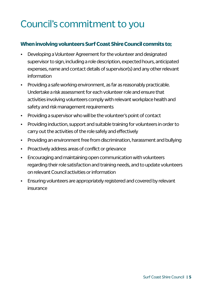## Council's commitment to you

#### **When involving volunteers Surf Coast Shire Council commits to;**

- Developing a Volunteer Agreement for the volunteer and designated supervisor to sign, including a role description, expected hours, anticipated expenses, name and contact details of supervisor(s) and any other relevant information
- Providing a safe working environment, as far as reasonably practicable. Undertake a risk assessment for each volunteer role and ensure that activities involving volunteers comply with relevant workplace health and safety and risk management requirements
- Providing a supervisor who will be the volunteer's point of contact
- Providing induction, support and suitable training for volunteers in order to carry out the activities of the role safely and effectively
- Providing an environment free from discrimination, harassment and bullying
- Proactively address areas of conflict or grievance
- Encouraging and maintaining open communication with volunteers regarding their role satisfaction and training needs, and to update volunteers on relevant Council activities or information
- Ensuring volunteers are appropriately registered and covered by relevant insurance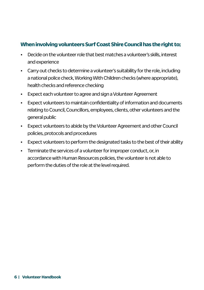#### **When involving volunteers Surf Coast Shire Council has the right to;**

- Decide on the volunteer role that best matches a volunteer's skills, interest and experience
- Carry out checks to determine a volunteer's suitability for the role, including a national police check, Working With Children checks (where appropriate), health checks and reference checking
- Expect each volunteer to agree and sign a Volunteer Agreement
- Expect volunteers to maintain confidentiality of information and documents relating to Council, Councillors, employees, clients, other volunteers and the general public
- Expect volunteers to abide by the Volunteer Agreement and other Council policies, protocols and procedures
- Expect volunteers to perform the designated tasks to the best of their ability
- Terminate the services of a volunteer for improper conduct, or, in accordance with Human Resources policies, the volunteer is not able to perform the duties of the role at the level required.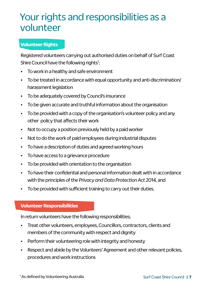## Your rights and responsibilities as a volunteer

#### **Volunteer Rights**

Registered volunteers carrying out authorised duties on behalf of Surf Coast Shire Council have the following rights<sup>1</sup>:

- To work in a healthy and safe environment
- To be treated in accordance with equal opportunity and anti-discrimination/ harassment legislation
- To be adequately covered by Council's insurance
- To be given accurate and truthful information about the organisation
- To be provided with a copy of the organisation's volunteer policy and any other policy that affects their work
- Not to occupy a position previously held by a paid worker
- Not to do the work of paid employees during industrial disputes
- To have a description of duties and agreed working hours
- To have access to a grievance procedure
- To be provided with orientation to the organisation
- To have their confidential and personal information dealt with in accordance with the principles of the *Privacy and Data Protection Act 2014,* and
- To be provided with sufficient training to carry out their duties.

#### **Volunteer Responsibilities**

In return volunteers have the following responsibilities;

- Treat other volunteers, employees, Councillors, contractors, clients and members of the community with respect and dignity
- Perform their volunteering role with integrity and honesty
- Respect and abide by the Volunteers' Agreement and other relevant policies, procedures and work instructions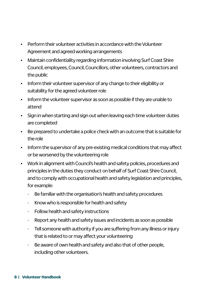- Perform their volunteer activities in accordance with the Volunteer Agreement and agreed working arrangements
- Maintain confidentiality regarding information involving Surf Coast Shire Council, employees, Council, Councillors, other volunteers, contractors and the public
- Inform their volunteer supervisor of any change to their eligibility or suitability for the agreed volunteer role
- Inform the volunteer supervisor as soon as possible if they are unable to attend
- Sign in when starting and sign out when leaving each time volunteer duties are completed
- Be prepared to undertake a police check with an outcome that is suitable for the role
- Inform the supervisor of any pre-existing medical conditions that may affect or be worsened by the volunteering role
- Work in alignment with Council's health and safety policies, procedures and principles in the duties they conduct on behalf of Surf Coast Shire Council, and to comply with occupational health and safety legislation and principles, for example:
	- Be familiar with the organisation's health and safety procedures
	- Know who is responsible for health and safety
	- Follow health and safety instructions
	- Report any health and safety issues and incidents as soon as possible
	- Tell someone with authority if you are suffering from any illness or iniury that is related to or may affect your volunteering
	- Be aware of own health and safety and also that of other people, including other volunteers.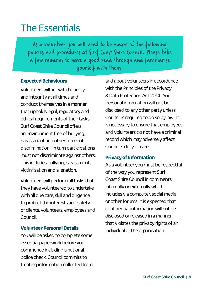## The Essentials

As a volunteer you will need to be aware of the following policies and procedures at Surf Coast Shire Council. Please take a few minutes to have a good read through and familiarise yourself with them.

#### **Expected Behaviours**

Volunteers will act with honesty and integrity at all times and conduct themselves in a manner that upholds legal, regulatory and ethical requirements of their tasks. Surf Coast Shire Council offers an environment free of bullying, harassment and other forms of discrimination. In turn participations must not discriminate against others. This includes bullying, harassment, victimisation and alienation.

Volunteers will perform all tasks that they have volunteered to undertake with all due care, skill and diligence to protect the interests and safety of clients, volunteers, employees and Council.

#### **Volunteer Personal Details**

You will be asked to complete some essential paperwork before you commence including a national police check. Council commits to treating information collected from and about volunteers in accordance with the Principles of the Privacy & Data Protection Act 2014. Your personal information will not be disclosed to any other party unless Council is required to do so by law. It is necessary to ensure that employees and volunteers do not have a criminal record which may adversely affect Council's duty of care.

#### **Privacy of Information**

As a volunteer you must be respectful of the way you represent Surf Coast Shire Council in comments internally or externally which includes via computer, social media or other forums. It is expected that confidential information will not be disclosed or released in a manner that violates the privacy rights of an individual or the organisation.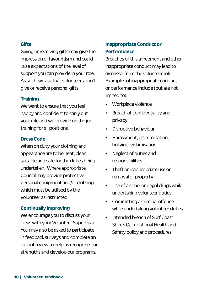#### **Gifts**

Giving or receiving gifts may give the impression of favouritism and could raise expectations of the level of support you can provide in your role. As such, we ask that volunteers don't give or receive personal gifts.

#### **Training**

We want to ensure that you feel happy and confident to carry out your role and will provide on the job training for all positions.

#### **Dress Code**

When on duty your clothing and appearance are to be neat, clean, suitable and safe for the duties being undertaken. Where appropriate Council may provide protective personal equipment and/or clothing which must be utilised by the volunteer as instructed.

#### **Continually Improving**

We encourage you to discuss your ideas with your Volunteer Supervisor. You may also be asked to participate in feedback surveys and complete an exit interview to help us recognise our strengths and develop our programs.

#### **Inappropriate Conduct or Performance**

Breaches of this agreement and other inappropriate conduct may lead to dismissal from the volunteer role. Examples of inappropriate conduct or performance include (but are not limited to):

- Workplace violence
- Breach of confidentiality and privacy
- Disruptive behaviour
- Harassment, discrimination, bullying, victimisation
- Neglect of duties and responsibilities
- Theft or inappropriate use or removal of property
- Use of alcohol or illegal drugs while undertaking volunteer duties
- Committing a criminal offence while undertaking volunteer duties
- Intended breach of Surf Coast Shire's Occupational Health and Safety policy and procedures.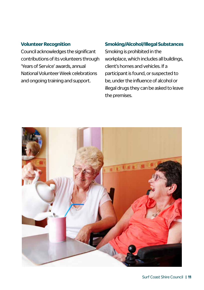#### **Volunteer Recognition**

Council acknowledges the significant contributions of its volunteers through 'Years of Service' awards, annual National Volunteer Week celebrations and ongoing training and support.

#### **Smoking/Alcohol/Illegal Substances**

Smoking is prohibited in the workplace, which includes all buildings, client's homes and vehicles. If a participant is found, or suspected to be, under the influence of alcohol or illegal drugs they can be asked to leave the premises.

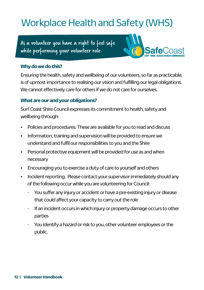## Workplace Health and Safety (WHS)

As a volunteer you have a right to feel safe while performing your volunteer role.



#### **Why do we do this?**

Ensuring the health, safety and wellbeing of our volunteers, so far as practicable, is of upmost importance to realising our vision and fulfilling our legal obligations. We cannot effectively care for others if we do not care for ourselves.

#### **What are our and your obligations?**

Surf Coast Shire Council expresses its commitment to health, safety and wellbeing through:

- Policies and procedures: These are available for you to read and discuss
- Information, training and supervision will be provided to ensure we understand and fulfil our responsibilities to you and the Shire
- Personal protective equipment will be provided for use as and when necessary
- Encouraging you to exercise a duty of care to yourself and others
- Incident reporting. Please contact your supervisor immediately should any of the following occur while you are volunteering for Council:
	- You suffer any injury or accident or have a pre-existing injury or disease that could affect your capacity to carry out the role
	- If an incident occurs in which injury or property damage occurs to other parties
	- You identify a hazard or risk to you, other volunteer employees or the public.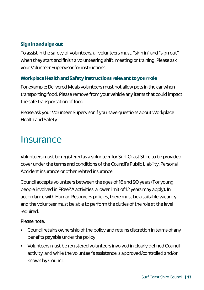#### **Sign in and sign out**

To assist in the safety of volunteers, all volunteers must. "sign in" and "sign out" when they start and finish a volunteering shift, meeting or training. Please ask your Volunteer Supervisor for instructions.

#### **Workplace Health and Safety Instructions relevant to your role**

For example: Delivered Meals volunteers must not allow pets in the car when transporting food. Please remove from your vehicle any items that could impact the safe transportation of food.

Please ask your Volunteer Supervisor if you have questions about Workplace Health and Safety.

### **Insurance**

Volunteers must be registered as a volunteer for Surf Coast Shire to be provided cover under the terms and conditions of the Council's Public Liability, Personal Accident insurance or other related insurance.

Council accepts volunteers between the ages of 16 and 90 years (For young people involved in FReeZA activities, a lower limit of 12 years may apply). In accordance with Human Resources policies, there must be a suitable vacancy and the volunteer must be able to perform the duties of the role at the level required.

Please note:

- Council retains ownership of the policy and retains discretion in terms of any benefits payable under the policy
- Volunteers must be registered volunteers involved in clearly defined Council activity, and while the volunteer's assistance is approved/controlled and/or known by Council.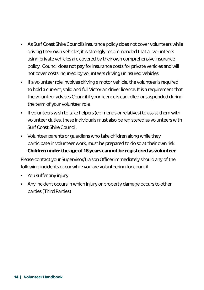- As Surf Coast Shire Council's insurance policy does not cover volunteers while driving their own vehicles, it is strongly recommended that all volunteers using private vehicles are covered by their own comprehensive insurance policy. Council does not pay for insurance costs for private vehicles and will not cover costs incurred by volunteers driving uninsured vehicles
- If a volunteer role involves driving a motor vehicle, the volunteer is required to hold a current, valid and full Victorian driver licence. It is a requirement that the volunteer advises Council if your licence is cancelled or suspended during the term of your volunteer role
- If volunteers wish to take helpers (eg friends or relatives) to assist them with volunteer duties, these individuals must also be registered as volunteers with Surf Coast Shire Council.
- Volunteer parents or guardians who take children along while they participate in volunteer work, must be prepared to do so at their own risk. **Children under the age of 16 years cannot be registered as volunteer**

Please contact your Supervisor/Liaison Officer immediately should any of the following incidents occur while you are volunteering for council

- You suffer any injury
- Any incident occurs in which injury or property damage occurs to other parties (Third Parties)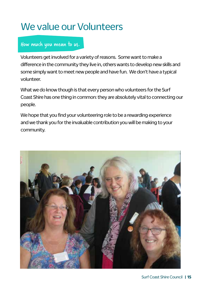## We value our Volunteers

#### How much you mean to us.

Volunteers get involved for a variety of reasons. Some want to make a difference in the community they live in, others wants to develop new skills and some simply want to meet new people and have fun. We don't have a typical volunteer.

What we do know though is that every person who volunteers for the Surf Coast Shire has one thing in common: they are absolutely vital to connecting our people.

We hope that you find your volunteering role to be a rewarding experience and we thank you for the invaluable contribution you will be making to your community.